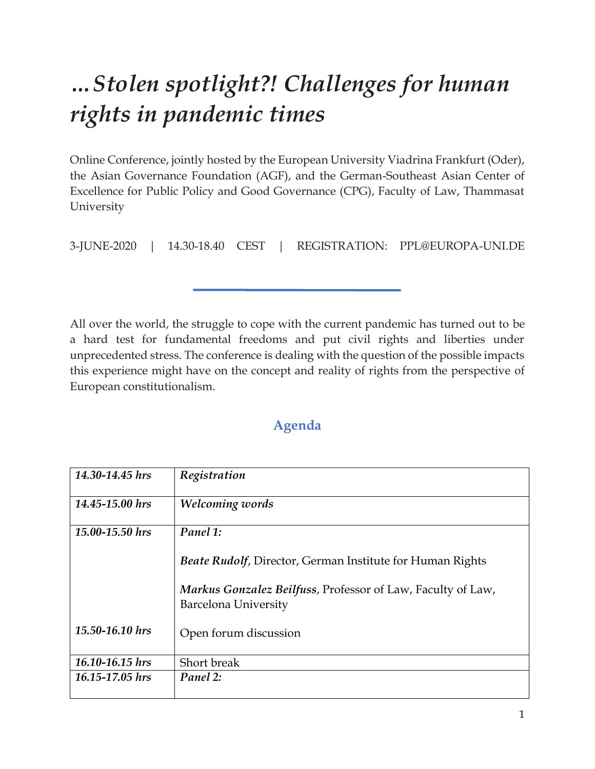## *…Stolen spotlight?! Challenges for human rights in pandemic times*

Online Conference, jointly hosted by the European University Viadrina Frankfurt (Oder), the Asian Governance Foundation (AGF), and the German-Southeast Asian Center of Excellence for Public Policy and Good Governance (CPG), Faculty of Law, Thammasat University

3-JUNE-2020 | 14.30-18.40 CEST | REGISTRATION: PPL@EUROPA-UNI.DE

All over the world, the struggle to cope with the current pandemic has turned out to be a hard test for fundamental freedoms and put civil rights and liberties under unprecedented stress. The conference is dealing with the question of the possible impacts this experience might have on the concept and reality of rights from the perspective of European constitutionalism.

## **Agenda**

| 14.30-14.45 hrs | Registration                                                                        |
|-----------------|-------------------------------------------------------------------------------------|
| 14.45-15.00 hrs | Welcoming words                                                                     |
| 15.00-15.50 hrs | Panel 1:                                                                            |
|                 | <b>Beate Rudolf, Director, German Institute for Human Rights</b>                    |
|                 | Markus Gonzalez Beilfuss, Professor of Law, Faculty of Law,<br>Barcelona University |
| 15.50-16.10 hrs | Open forum discussion                                                               |
| 16.10-16.15 hrs | Short break                                                                         |
| 16.15-17.05 hrs | Panel 2:                                                                            |